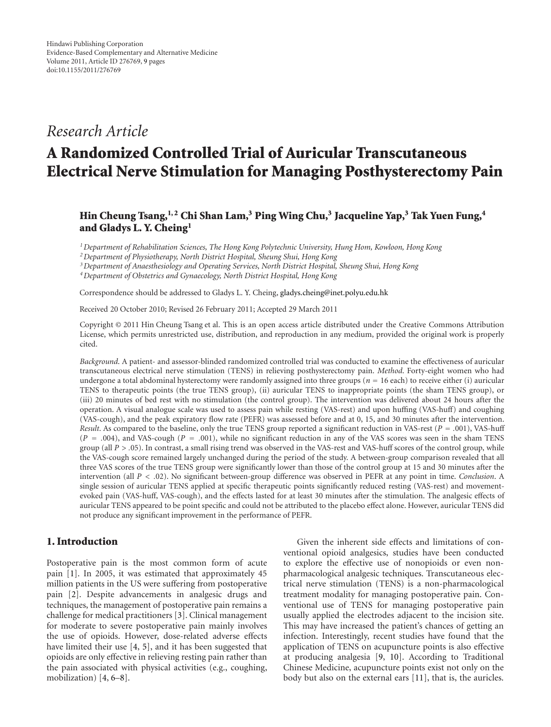## *Research Article*

# **A Randomized Controlled Trial of Auricular Transcutaneous Electrical Nerve Stimulation for Managing Posthysterectomy Pain**

## **Hin Cheung Tsang,1, 2 Chi Shan Lam,3 Ping Wing Chu,3 Jacqueline Yap,3 Tak Yuen Fung,4 and Gladys L. Y. Cheing1**

*1Department of Rehabilitation Sciences, The Hong Kong Polytechnic University, Hung Hom, Kowloon, Hong Kong*

*2Department of Physiotherapy, North District Hospital, Sheung Shui, Hong Kong*

*3Department of Anaesthesiology and Operating Services, North District Hospital, Sheung Shui, Hong Kong*

*4Department of Obstetrics and Gynaecology, North District Hospital, Hong Kong*

Correspondence should be addressed to Gladys L. Y. Cheing, gladys.cheing@inet.polyu.edu.hk

Received 20 October 2010; Revised 26 February 2011; Accepted 29 March 2011

Copyright © 2011 Hin Cheung Tsang et al. This is an open access article distributed under the Creative Commons Attribution License, which permits unrestricted use, distribution, and reproduction in any medium, provided the original work is properly cited.

*Background*. A patient- and assessor-blinded randomized controlled trial was conducted to examine the effectiveness of auricular transcutaneous electrical nerve stimulation (TENS) in relieving posthysterectomy pain. *Method*. Forty-eight women who had undergone a total abdominal hysterectomy were randomly assigned into three groups (*<sup>n</sup> <sup>=</sup>* 16 each) to receive either (i) auricular TENS to therapeutic points (the true TENS group), (ii) auricular TENS to inappropriate points (the sham TENS group), or (iii) 20 minutes of bed rest with no stimulation (the control group). The intervention was delivered about 24 hours after the operation. A visual analogue scale was used to assess pain while resting (VAS-rest) and upon huffing (VAS-huff) and coughing (VAS-cough), and the peak expiratory flow rate (PEFR) was assessed before and at 0, 15, and 30 minutes after the intervention. *Result*. As compared to the baseline, only the true TENS group reported a significant reduction in VAS-rest (*<sup>P</sup> <sup>=</sup> .*001), VAS-huff (*<sup>P</sup> <sup>=</sup> .*004), and VAS-cough (*<sup>P</sup> <sup>=</sup> .*001), while no significant reduction in any of the VAS scores was seen in the sham TENS group (all *P>.*05). In contrast, a small rising trend was observed in the VAS-rest and VAS-huff scores of the control group, while the VAS-cough score remained largely unchanged during the period of the study. A between-group comparison revealed that all three VAS scores of the true TENS group were significantly lower than those of the control group at 15 and 30 minutes after the intervention (all *P<.*02). No significant between-group difference was observed in PEFR at any point in time. *Conclusion*. A single session of auricular TENS applied at specific therapeutic points significantly reduced resting (VAS-rest) and movementevoked pain (VAS-huff, VAS-cough), and the effects lasted for at least 30 minutes after the stimulation. The analgesic effects of auricular TENS appeared to be point specific and could not be attributed to the placebo effect alone. However, auricular TENS did not produce any significant improvement in the performance of PEFR.

### **1. Introduction**

Postoperative pain is the most common form of acute pain [1]. In 2005, it was estimated that approximately 45 million patients in the US were suffering from postoperative pain [2]. Despite advancements in analgesic drugs and techniques, the management of postoperative pain remains a challenge for medical practitioners [3]. Clinical management for moderate to severe postoperative pain mainly involves the use of opioids. However, dose-related adverse effects have limited their use [4, 5], and it has been suggested that opioids are only effective in relieving resting pain rather than the pain associated with physical activities (e.g., coughing, mobilization) [4, 6–8].

Given the inherent side effects and limitations of conventional opioid analgesics, studies have been conducted to explore the effective use of nonopioids or even nonpharmacological analgesic techniques. Transcutaneous electrical nerve stimulation (TENS) is a non-pharmacological treatment modality for managing postoperative pain. Conventional use of TENS for managing postoperative pain usually applied the electrodes adjacent to the incision site. This may have increased the patient's chances of getting an infection. Interestingly, recent studies have found that the application of TENS on acupuncture points is also effective at producing analgesia [9, 10]. According to Traditional Chinese Medicine, acupuncture points exist not only on the body but also on the external ears [11], that is, the auricles.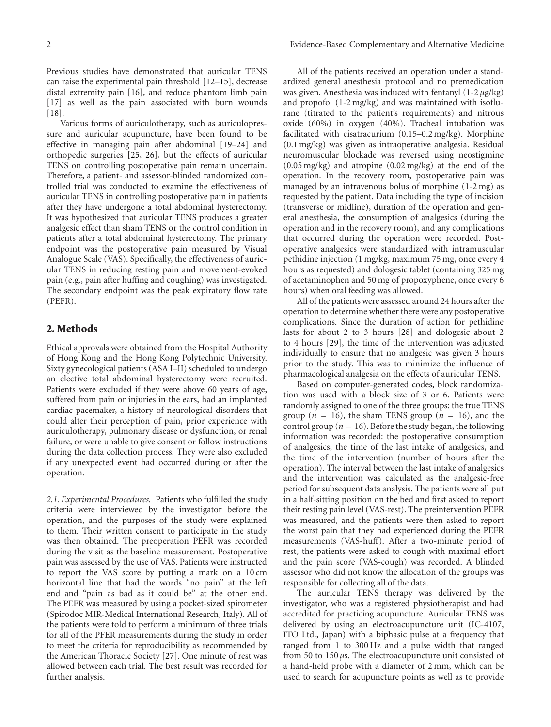Previous studies have demonstrated that auricular TENS can raise the experimental pain threshold [12–15], decrease distal extremity pain [16], and reduce phantom limb pain [17] as well as the pain associated with burn wounds [18].

Various forms of auriculotherapy, such as auriculopressure and auricular acupuncture, have been found to be effective in managing pain after abdominal [19–24] and orthopedic surgeries [25, 26], but the effects of auricular TENS on controlling postoperative pain remain uncertain. Therefore, a patient- and assessor-blinded randomized controlled trial was conducted to examine the effectiveness of auricular TENS in controlling postoperative pain in patients after they have undergone a total abdominal hysterectomy. It was hypothesized that auricular TENS produces a greater analgesic effect than sham TENS or the control condition in patients after a total abdominal hysterectomy. The primary endpoint was the postoperative pain measured by Visual Analogue Scale (VAS). Specifically, the effectiveness of auricular TENS in reducing resting pain and movement-evoked pain (e.g., pain after huffing and coughing) was investigated. The secondary endpoint was the peak expiratory flow rate (PEFR).

#### **2. Methods**

Ethical approvals were obtained from the Hospital Authority of Hong Kong and the Hong Kong Polytechnic University. Sixty gynecological patients (ASA I–II) scheduled to undergo an elective total abdominal hysterectomy were recruited. Patients were excluded if they were above 60 years of age, suffered from pain or injuries in the ears, had an implanted cardiac pacemaker, a history of neurological disorders that could alter their perception of pain, prior experience with auriculotherapy, pulmonary disease or dysfunction, or renal failure, or were unable to give consent or follow instructions during the data collection process. They were also excluded if any unexpected event had occurred during or after the operation.

*2.1. Experimental Procedures.* Patients who fulfilled the study criteria were interviewed by the investigator before the operation, and the purposes of the study were explained to them. Their written consent to participate in the study was then obtained. The preoperation PEFR was recorded during the visit as the baseline measurement. Postoperative pain was assessed by the use of VAS. Patients were instructed to report the VAS score by putting a mark on a 10 cm horizontal line that had the words "no pain" at the left end and "pain as bad as it could be" at the other end. The PEFR was measured by using a pocket-sized spirometer (Spirodoc MIR-Medical International Research, Italy). All of the patients were told to perform a minimum of three trials for all of the PFER measurements during the study in order to meet the criteria for reproducibility as recommended by the American Thoracic Society [27]. One minute of rest was allowed between each trial. The best result was recorded for further analysis.

All of the patients received an operation under a standardized general anesthesia protocol and no premedication was given. Anesthesia was induced with fentanyl (1-2 *μ*g/kg) and propofol (1-2 mg/kg) and was maintained with isoflurane (titrated to the patient's requirements) and nitrous oxide (60%) in oxygen (40%). Tracheal intubation was facilitated with cisatracurium (0.15–0.2 mg/kg). Morphine (0.1 mg/kg) was given as intraoperative analgesia. Residual neuromuscular blockade was reversed using neostigmine (0.05 mg/kg) and atropine (0.02 mg/kg) at the end of the operation. In the recovery room, postoperative pain was managed by an intravenous bolus of morphine (1-2 mg) as requested by the patient. Data including the type of incision (transverse or midline), duration of the operation and general anesthesia, the consumption of analgesics (during the operation and in the recovery room), and any complications that occurred during the operation were recorded. Postoperative analgesics were standardized with intramuscular pethidine injection (1 mg/kg, maximum 75 mg, once every 4 hours as requested) and dologesic tablet (containing 325 mg of acetaminophen and 50 mg of propoxyphene, once every 6 hours) when oral feeding was allowed.

All of the patients were assessed around 24 hours after the operation to determine whether there were any postoperative complications. Since the duration of action for pethidine lasts for about 2 to 3 hours [28] and dologesic about 2 to 4 hours [29], the time of the intervention was adjusted individually to ensure that no analgesic was given 3 hours prior to the study. This was to minimize the influence of pharmacological analgesia on the effects of auricular TENS.

Based on computer-generated codes, block randomization was used with a block size of 3 or 6. Patients were randomly assigned to one of the three groups: the true TENS group ( $n = 16$ ), the sham TENS group ( $n = 16$ ), and the control group ( $n = 16$ ). Before the study began, the following information was recorded: the postoperative consumption of analgesics, the time of the last intake of analgesics, and the time of the intervention (number of hours after the operation). The interval between the last intake of analgesics and the intervention was calculated as the analgesic-free period for subsequent data analysis. The patients were all put in a half-sitting position on the bed and first asked to report their resting pain level (VAS-rest). The preintervention PEFR was measured, and the patients were then asked to report the worst pain that they had experienced during the PEFR measurements (VAS-huff). After a two-minute period of rest, the patients were asked to cough with maximal effort and the pain score (VAS-cough) was recorded. A blinded assessor who did not know the allocation of the groups was responsible for collecting all of the data.

The auricular TENS therapy was delivered by the investigator, who was a registered physiotherapist and had accredited for practicing acupuncture. Auricular TENS was delivered by using an electroacupuncture unit (IC-4107, ITO Ltd., Japan) with a biphasic pulse at a frequency that ranged from 1 to 300 Hz and a pulse width that ranged from 50 to 150 *μ*s. The electroacupuncture unit consisted of a hand-held probe with a diameter of 2 mm, which can be used to search for acupuncture points as well as to provide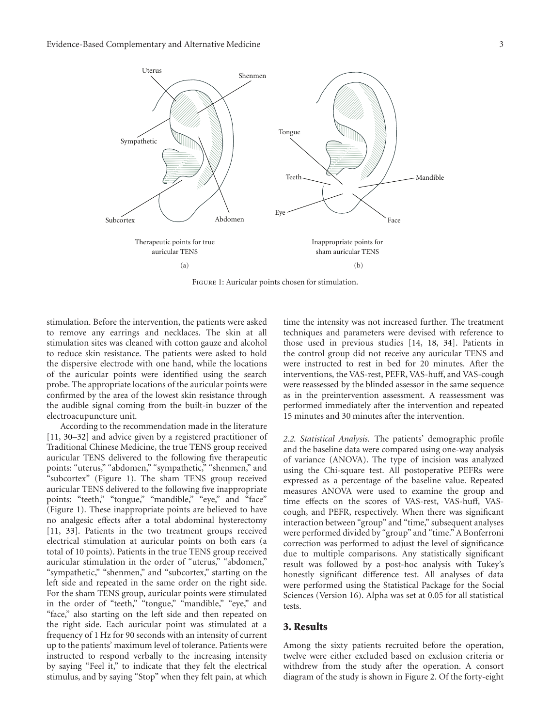

Figure 1: Auricular points chosen for stimulation.

stimulation. Before the intervention, the patients were asked to remove any earrings and necklaces. The skin at all stimulation sites was cleaned with cotton gauze and alcohol to reduce skin resistance. The patients were asked to hold the dispersive electrode with one hand, while the locations of the auricular points were identified using the search probe. The appropriate locations of the auricular points were confirmed by the area of the lowest skin resistance through the audible signal coming from the built-in buzzer of the electroacupuncture unit.

According to the recommendation made in the literature [11, 30–32] and advice given by a registered practitioner of Traditional Chinese Medicine, the true TENS group received auricular TENS delivered to the following five therapeutic points: "uterus," "abdomen," "sympathetic," "shenmen," and "subcortex" (Figure 1). The sham TENS group received auricular TENS delivered to the following five inappropriate points: "teeth," "tongue," "mandible," "eye," and "face" (Figure 1). These inappropriate points are believed to have no analgesic effects after a total abdominal hysterectomy [11, 33]. Patients in the two treatment groups received electrical stimulation at auricular points on both ears (a total of 10 points). Patients in the true TENS group received auricular stimulation in the order of "uterus," "abdomen," "sympathetic," "shenmen," and "subcortex," starting on the left side and repeated in the same order on the right side. For the sham TENS group, auricular points were stimulated in the order of "teeth," "tongue," "mandible," "eye," and "face," also starting on the left side and then repeated on the right side. Each auricular point was stimulated at a frequency of 1 Hz for 90 seconds with an intensity of current up to the patients' maximum level of tolerance. Patients were instructed to respond verbally to the increasing intensity by saying "Feel it," to indicate that they felt the electrical stimulus, and by saying "Stop" when they felt pain, at which

time the intensity was not increased further. The treatment techniques and parameters were devised with reference to those used in previous studies [14, 18, 34]. Patients in the control group did not receive any auricular TENS and were instructed to rest in bed for 20 minutes. After the interventions, the VAS-rest, PEFR, VAS-huff, and VAS-cough were reassessed by the blinded assessor in the same sequence as in the preintervention assessment. A reassessment was performed immediately after the intervention and repeated 15 minutes and 30 minutes after the intervention.

*2.2. Statistical Analysis.* The patients' demographic profile and the baseline data were compared using one-way analysis of variance (ANOVA). The type of incision was analyzed using the Chi-square test. All postoperative PEFRs were expressed as a percentage of the baseline value. Repeated measures ANOVA were used to examine the group and time effects on the scores of VAS-rest, VAS-huff, VAScough, and PEFR, respectively. When there was significant interaction between "group" and "time," subsequent analyses were performed divided by "group" and "time." A Bonferroni correction was performed to adjust the level of significance due to multiple comparisons. Any statistically significant result was followed by a post-hoc analysis with Tukey's honestly significant difference test. All analyses of data were performed using the Statistical Package for the Social Sciences (Version 16). Alpha was set at 0.05 for all statistical tests.

#### **3. Results**

Among the sixty patients recruited before the operation, twelve were either excluded based on exclusion criteria or withdrew from the study after the operation. A consort diagram of the study is shown in Figure 2. Of the forty-eight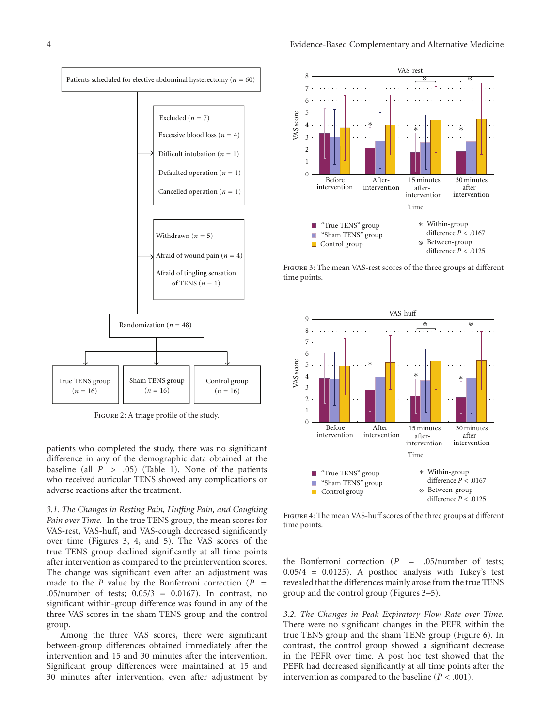

Figure 2: A triage profile of the study.

patients who completed the study, there was no significant difference in any of the demographic data obtained at the baseline (all  $P > .05$ ) (Table 1). None of the patients who received auricular TENS showed any complications or adverse reactions after the treatment.

*3.1. The Changes in Resting Pain, Huffing Pain, and Coughing Pain over Time.* In the true TENS group, the mean scores for VAS-rest, VAS-huff, and VAS-cough decreased significantly over time (Figures 3, 4, and 5). The VAS scores of the true TENS group declined significantly at all time points after intervention as compared to the preintervention scores. The change was significant even after an adjustment was made to the *<sup>P</sup>* value by the Bonferroni correction (*<sup>P</sup> <sup>=</sup> .*05/number of tests; 0.05/3 = 0.0167). In contrast, no significant within-group difference was found in any of the three VAS scores in the sham TENS group and the control group.

Among the three VAS scores, there were significant between-group differences obtained immediately after the intervention and 15 and 30 minutes after the intervention. Significant group differences were maintained at 15 and 30 minutes after intervention, even after adjustment by



Figure 3: The mean VAS-rest scores of the three groups at different time points.



Figure 4: The mean VAS-huff scores of the three groups at different time points.

the Bonferroni correction (*<sup>P</sup> <sup>=</sup> .*05/number of tests;  $0.05/4$  = 0.0125). A posthoc analysis with Tukey's test revealed that the differences mainly arose from the true TENS group and the control group (Figures 3–5).

*3.2. The Changes in Peak Expiratory Flow Rate over Time.* There were no significant changes in the PEFR within the true TENS group and the sham TENS group (Figure 6). In contrast, the control group showed a significant decrease in the PEFR over time. A post hoc test showed that the PEFR had decreased significantly at all time points after the intervention as compared to the baseline  $(P < .001)$ .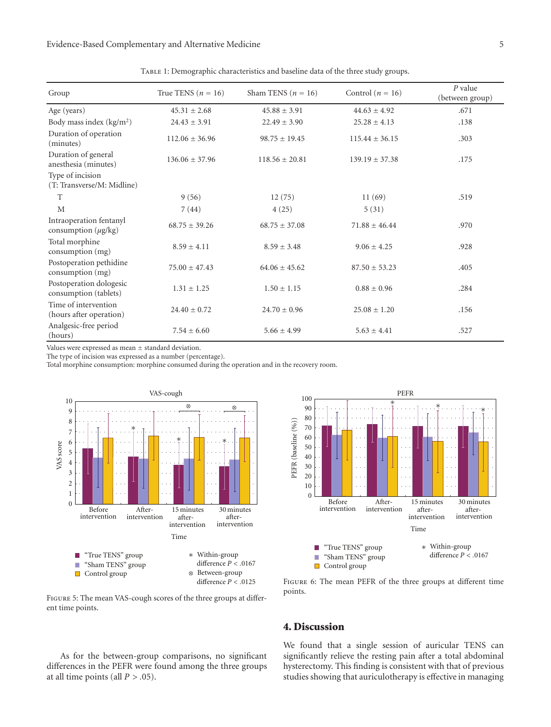| Group                                               | True TENS ( $n = 16$ ) | Sham TENS ( $n = 16$ ) | Control ( $n = 16$ ) | $P$ value<br>(between group) |
|-----------------------------------------------------|------------------------|------------------------|----------------------|------------------------------|
| Age (years)                                         | $45.31 \pm 2.68$       | $45.88 \pm 3.91$       | $44.63 \pm 4.92$     | .671                         |
| Body mass index $(kg/m2)$                           | $24.43 \pm 3.91$       | $22.49 \pm 3.90$       | $25.28 \pm 4.13$     | .138                         |
| Duration of operation<br>(minutes)                  | $112.06 \pm 36.96$     | $98.75 \pm 19.45$      | $115.44 \pm 36.15$   | .303                         |
| Duration of general<br>anesthesia (minutes)         | $136.06 \pm 37.96$     | $118.56 \pm 20.81$     | $139.19 \pm 37.38$   | .175                         |
| Type of incision<br>(T: Transverse/M: Midline)      |                        |                        |                      |                              |
| T                                                   | 9(56)                  | 12(75)                 | 11(69)               | .519                         |
| M                                                   | 7(44)                  | 4(25)                  | 5(31)                |                              |
| Intraoperation fentanyl<br>consumption $(\mu g/kg)$ | $68.75 \pm 39.26$      | $68.75 \pm 37.08$      | $71.88 \pm 46.44$    | .970                         |
| Total morphine<br>consumption (mg)                  | $8.59 \pm 4.11$        | $8.59 \pm 3.48$        | $9.06 \pm 4.25$      | .928                         |
| Postoperation pethidine<br>consumption (mg)         | $75.00 \pm 47.43$      | $64.06 \pm 45.62$      | $87.50 \pm 53.23$    | .405                         |
| Postoperation dologesic<br>consumption (tablets)    | $1.31 \pm 1.25$        | $1.50 \pm 1.15$        | $0.88 \pm 0.96$      | .284                         |
| Time of intervention<br>(hours after operation)     | $24.40 \pm 0.72$       | $24.70 \pm 0.96$       | $25.08 \pm 1.20$     | .156                         |
| Analgesic-free period<br>(hours)                    | $7.54 \pm 6.60$        | $5.66 \pm 4.99$        | $5.63 \pm 4.41$      | .527                         |

TABLE 1: Demographic characteristics and baseline data of the three study groups.

Values were expressed as mean *±* standard deviation.

The type of incision was expressed as a number (percentage).

Total morphine consumption: morphine consumed during the operation and in the recovery room.



difference *P<.*0125

Figure 5: The mean VAS-cough scores of the three groups at different time points.

As for the between-group comparisons, no significant differences in the PEFR were found among the three groups at all time points (all  $P > .05$ ).



FIGURE 6: The mean PEFR of the three groups at different time points.

## **4. Discussion**

We found that a single session of auricular TENS can significantly relieve the resting pain after a total abdominal hysterectomy. This finding is consistent with that of previous studies showing that auriculotherapy is effective in managing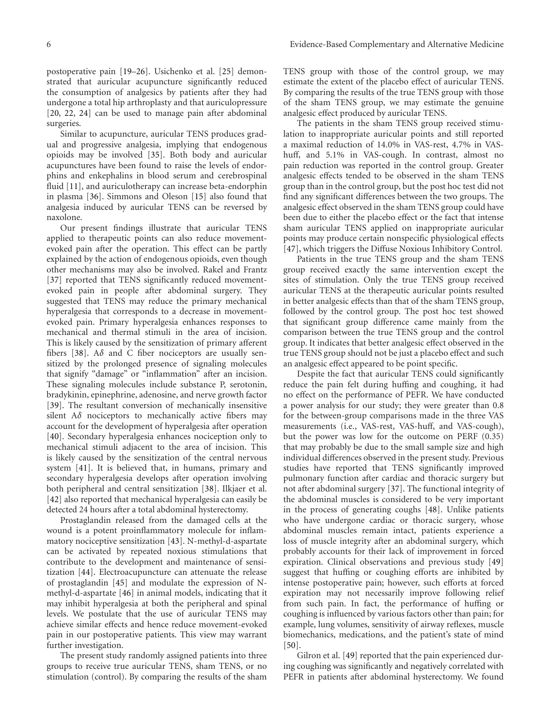postoperative pain [19–26]. Usichenko et al. [25] demonstrated that auricular acupuncture significantly reduced the consumption of analgesics by patients after they had undergone a total hip arthroplasty and that auriculopressure [20, 22, 24] can be used to manage pain after abdominal surgeries.

Similar to acupuncture, auricular TENS produces gradual and progressive analgesia, implying that endogenous opioids may be involved [35]. Both body and auricular acupunctures have been found to raise the levels of endorphins and enkephalins in blood serum and cerebrospinal fluid [11], and auriculotherapy can increase beta-endorphin in plasma [36]. Simmons and Oleson [15] also found that analgesia induced by auricular TENS can be reversed by naxolone.

Our present findings illustrate that auricular TENS applied to therapeutic points can also reduce movementevoked pain after the operation. This effect can be partly explained by the action of endogenous opioids, even though other mechanisms may also be involved. Rakel and Frantz [37] reported that TENS significantly reduced movementevoked pain in people after abdominal surgery. They suggested that TENS may reduce the primary mechanical hyperalgesia that corresponds to a decrease in movementevoked pain. Primary hyperalgesia enhances responses to mechanical and thermal stimuli in the area of incision. This is likely caused by the sensitization of primary afferent fibers [38]. A*δ* and C fiber nociceptors are usually sensitized by the prolonged presence of signaling molecules that signify "damage" or "inflammation" after an incision. These signaling molecules include substance P, serotonin, bradykinin, epinephrine, adenosine, and nerve growth factor [39]. The resultant conversion of mechanically insensitive silent A*δ* nociceptors to mechanically active fibers may account for the development of hyperalgesia after operation [40]. Secondary hyperalgesia enhances nociception only to mechanical stimuli adjacent to the area of incision. This is likely caused by the sensitization of the central nervous system [41]. It is believed that, in humans, primary and secondary hyperalgesia develops after operation involving both peripheral and central sensitization [38]. Ilkjaer et al. [42] also reported that mechanical hyperalgesia can easily be detected 24 hours after a total abdominal hysterectomy.

Prostaglandin released from the damaged cells at the wound is a potent proinflammatory molecule for inflammatory nociceptive sensitization [43]. N-methyl-d-aspartate can be activated by repeated noxious stimulations that contribute to the development and maintenance of sensitization [44]. Electroacupuncture can attenuate the release of prostaglandin [45] and modulate the expression of Nmethyl-d-aspartate [46] in animal models, indicating that it may inhibit hyperalgesia at both the peripheral and spinal levels. We postulate that the use of auricular TENS may achieve similar effects and hence reduce movement-evoked pain in our postoperative patients. This view may warrant further investigation.

The present study randomly assigned patients into three groups to receive true auricular TENS, sham TENS, or no stimulation (control). By comparing the results of the sham

TENS group with those of the control group, we may estimate the extent of the placebo effect of auricular TENS. By comparing the results of the true TENS group with those of the sham TENS group, we may estimate the genuine analgesic effect produced by auricular TENS.

The patients in the sham TENS group received stimulation to inappropriate auricular points and still reported a maximal reduction of 14.0% in VAS-rest, 4.7% in VAShuff, and 5.1% in VAS-cough. In contrast, almost no pain reduction was reported in the control group. Greater analgesic effects tended to be observed in the sham TENS group than in the control group, but the post hoc test did not find any significant differences between the two groups. The analgesic effect observed in the sham TENS group could have been due to either the placebo effect or the fact that intense sham auricular TENS applied on inappropriate auricular points may produce certain nonspecific physiological effects [47], which triggers the Diffuse Noxious Inhibitory Control.

Patients in the true TENS group and the sham TENS group received exactly the same intervention except the sites of stimulation. Only the true TENS group received auricular TENS at the therapeutic auricular points resulted in better analgesic effects than that of the sham TENS group, followed by the control group. The post hoc test showed that significant group difference came mainly from the comparison between the true TENS group and the control group. It indicates that better analgesic effect observed in the true TENS group should not be just a placebo effect and such an analgesic effect appeared to be point specific.

Despite the fact that auricular TENS could significantly reduce the pain felt during huffing and coughing, it had no effect on the performance of PEFR. We have conducted a power analysis for our study; they were greater than 0.8 for the between-group comparisons made in the three VAS measurements (i.e., VAS-rest, VAS-huff, and VAS-cough), but the power was low for the outcome on PERF (0.35) that may probably be due to the small sample size and high individual differences observed in the present study. Previous studies have reported that TENS significantly improved pulmonary function after cardiac and thoracic surgery but not after abdominal surgery [37]. The functional integrity of the abdominal muscles is considered to be very important in the process of generating coughs [48]. Unlike patients who have undergone cardiac or thoracic surgery, whose abdominal muscles remain intact, patients experience a loss of muscle integrity after an abdominal surgery, which probably accounts for their lack of improvement in forced expiration. Clinical observations and previous study [49] suggest that huffing or coughing efforts are inhibited by intense postoperative pain; however, such efforts at forced expiration may not necessarily improve following relief from such pain. In fact, the performance of huffing or coughing is influenced by various factors other than pain; for example, lung volumes, sensitivity of airway reflexes, muscle biomechanics, medications, and the patient's state of mind [50].

Gilron et al. [49] reported that the pain experienced during coughing was significantly and negatively correlated with PEFR in patients after abdominal hysterectomy. We found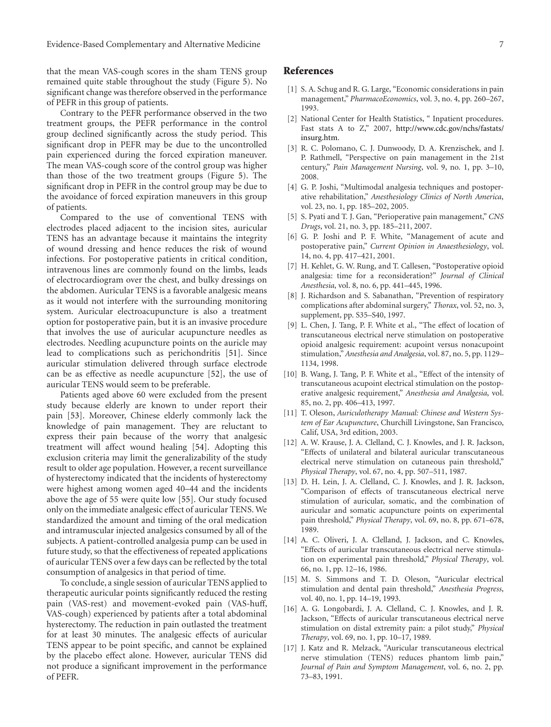that the mean VAS-cough scores in the sham TENS group remained quite stable throughout the study (Figure 5). No significant change was therefore observed in the performance of PEFR in this group of patients.

Contrary to the PEFR performance observed in the two treatment groups, the PEFR performance in the control group declined significantly across the study period. This significant drop in PEFR may be due to the uncontrolled pain experienced during the forced expiration maneuver. The mean VAS-cough score of the control group was higher than those of the two treatment groups (Figure 5). The significant drop in PEFR in the control group may be due to the avoidance of forced expiration maneuvers in this group of patients.

Compared to the use of conventional TENS with electrodes placed adjacent to the incision sites, auricular TENS has an advantage because it maintains the integrity of wound dressing and hence reduces the risk of wound infections. For postoperative patients in critical condition, intravenous lines are commonly found on the limbs, leads of electrocardiogram over the chest, and bulky dressings on the abdomen. Auricular TENS is a favorable analgesic means as it would not interfere with the surrounding monitoring system. Auricular electroacupuncture is also a treatment option for postoperative pain, but it is an invasive procedure that involves the use of auricular acupuncture needles as electrodes. Needling acupuncture points on the auricle may lead to complications such as perichondritis [51]. Since auricular stimulation delivered through surface electrode can be as effective as needle acupuncture [52], the use of auricular TENS would seem to be preferable.

Patients aged above 60 were excluded from the present study because elderly are known to under report their pain [53]. Moreover, Chinese elderly commonly lack the knowledge of pain management. They are reluctant to express their pain because of the worry that analgesic treatment will affect wound healing [54]. Adopting this exclusion criteria may limit the generalizability of the study result to older age population. However, a recent surveillance of hysterectomy indicated that the incidents of hysterectomy were highest among women aged 40–44 and the incidents above the age of 55 were quite low [55]. Our study focused only on the immediate analgesic effect of auricular TENS. We standardized the amount and timing of the oral medication and intramuscular injected analgesics consumed by all of the subjects. A patient-controlled analgesia pump can be used in future study, so that the effectiveness of repeated applications of auricular TENS over a few days can be reflected by the total consumption of analgesics in that period of time.

To conclude, a single session of auricular TENS applied to therapeutic auricular points significantly reduced the resting pain (VAS-rest) and movement-evoked pain (VAS-huff, VAS-cough) experienced by patients after a total abdominal hysterectomy. The reduction in pain outlasted the treatment for at least 30 minutes. The analgesic effects of auricular TENS appear to be point specific, and cannot be explained by the placebo effect alone. However, auricular TENS did not produce a significant improvement in the performance of PEFR.

#### **References**

- [1] S. A. Schug and R. G. Large, "Economic considerations in pain management," *PharmacoEconomics*, vol. 3, no. 4, pp. 260–267, 1993.
- [2] National Center for Health Statistics, "Inpatient procedures. Fast stats A to Z," 2007, http://www.cdc.gov/nchs/fastats/ insurg.htm.
- [3] R. C. Polomano, C. J. Dunwoody, D. A. Krenzischek, and J. P. Rathmell, "Perspective on pain management in the 21st century," *Pain Management Nursing*, vol. 9, no. 1, pp. 3–10, 2008.
- [4] G. P. Joshi, "Multimodal analgesia techniques and postoperative rehabilitation," *Anesthesiology Clinics of North America*, vol. 23, no. 1, pp. 185–202, 2005.
- [5] S. Pyati and T. J. Gan, "Perioperative pain management," *CNS Drugs*, vol. 21, no. 3, pp. 185–211, 2007.
- [6] G. P. Joshi and P. F. White, "Management of acute and postoperative pain," *Current Opinion in Anaesthesiology*, vol. 14, no. 4, pp. 417–421, 2001.
- [7] H. Kehlet, G. W. Rung, and T. Callesen, "Postoperative opioid analgesia: time for a reconsideration?" *Journal of Clinical Anesthesia*, vol. 8, no. 6, pp. 441–445, 1996.
- [8] J. Richardson and S. Sabanathan, "Prevention of respiratory complications after abdominal surgery," *Thorax*, vol. 52, no. 3, supplement, pp. S35–S40, 1997.
- [9] L. Chen, J. Tang, P. F. White et al., "The effect of location of transcutaneous electrical nerve stimulation on postoperative opioid analgesic requirement: acupoint versus nonacupoint stimulation,"*Anesthesia and Analgesia*, vol. 87, no. 5, pp. 1129– 1134, 1998.
- [10] B. Wang, J. Tang, P. F. White et al., "Effect of the intensity of transcutaneous acupoint electrical stimulation on the postoperative analgesic requirement," *Anesthesia and Analgesia*, vol. 85, no. 2, pp. 406–413, 1997.
- [11] T. Oleson, *Auriculotherapy Manual: Chinese and Western System of Ear Acupuncture*, Churchill Livingstone, San Francisco, Calif, USA, 3rd edition, 2003.
- [12] A. W. Krause, J. A. Clelland, C. J. Knowles, and J. R. Jackson, "Effects of unilateral and bilateral auricular transcutaneous electrical nerve stimulation on cutaneous pain threshold," *Physical Therapy*, vol. 67, no. 4, pp. 507–511, 1987.
- [13] D. H. Lein, J. A. Clelland, C. J. Knowles, and J. R. Jackson, "Comparison of effects of transcutaneous electrical nerve stimulation of auricular, somatic, and the combination of auricular and somatic acupuncture points on experimental pain threshold," *Physical Therapy*, vol. 69, no. 8, pp. 671–678, 1989.
- [14] A. C. Oliveri, J. A. Clelland, J. Jackson, and C. Knowles, "Effects of auricular transcutaneous electrical nerve stimulation on experimental pain threshold," *Physical Therapy*, vol. 66, no. 1, pp. 12–16, 1986.
- [15] M. S. Simmons and T. D. Oleson, "Auricular electrical stimulation and dental pain threshold," *Anesthesia Progress*, vol. 40, no. 1, pp. 14–19, 1993.
- [16] A. G. Longobardi, J. A. Clelland, C. J. Knowles, and J. R. Jackson, "Effects of auricular transcutaneous electrical nerve stimulation on distal extremity pain: a pilot study," *Physical Therapy*, vol. 69, no. 1, pp. 10–17, 1989.
- [17] J. Katz and R. Melzack, "Auricular transcutaneous electrical nerve stimulation (TENS) reduces phantom limb pain," *Journal of Pain and Symptom Management*, vol. 6, no. 2, pp. 73–83, 1991.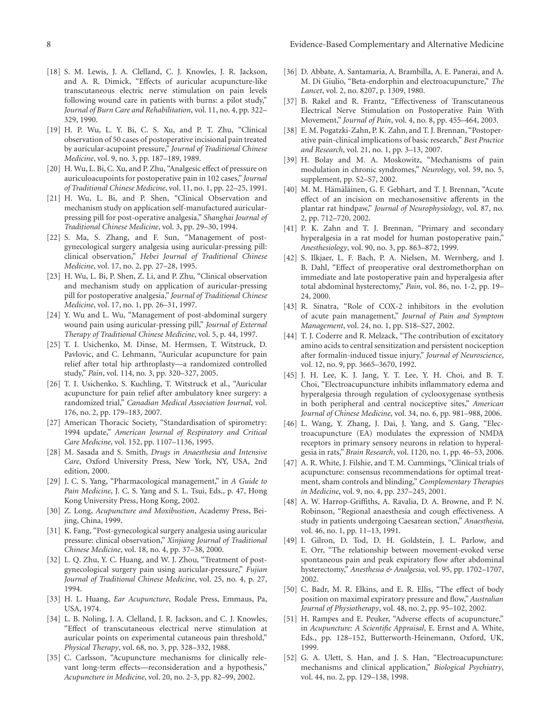- [18] S. M. Lewis, J. A. Clelland, C. J. Knowles, J. R. Jackson, and A. R. Dimick, "Effects of auricular acupuncture-like transcutaneous electric nerve stimulation on pain levels following wound care in patients with burns: a pilot study," *Journal of Burn Care and Rehabilitation*, vol. 11, no. 4, pp. 322– 329, 1990.
- [19] H. P. Wu, L. Y. Bi, C. S. Xu, and P. T. Zhu, "Clinical observation of 50 cases of postoperative incisional pain treated by auricular-acupoint pressure," *Journal of Traditional Chinese Medicine*, vol. 9, no. 3, pp. 187–189, 1989.
- [20] H. Wu, L. Bi, C. Xu, and P. Zhu, "Analgesic effect of pressure on auriculoacupoints for postoperative pain in 102 cases," *Journal of Traditional Chinese Medicine*, vol. 11, no. 1, pp. 22–25, 1991.
- [21] H. Wu, L. Bi, and P. Shen, "Clinical Observation and mechanism study on application self-manufactured auricularpressing pill for post-operative analgesia," *Shanghai Journal of Traditional Chinese Medicine*, vol. 3, pp. 29–30, 1994.
- [22] S. Ma, S. Zhang, and F. Sun, "Management of postgynecological surgery analgesia using auricular-pressing pill: clinical observation," *Hebei Journal of Traditional Chinese Medicine*, vol. 17, no. 2, pp. 27–28, 1995.
- [23] H. Wu, L. Bi, P. Shen, Z. Li, and P. Zhu, "Clinical observation and mechanism study on application of auricular-pressing pill for postoperative analgesia," *Journal of Traditional Chinese Medicine*, vol. 17, no. 1, pp. 26–31, 1997.
- [24] Y. Wu and L. Wu, "Management of post-abdominal surgery wound pain using auricular-pressing pill," *Journal of External Therapy of Traditional Chinese Medicine*, vol. 5, p. 44, 1997.
- [25] T. I. Usichenko, M. Dinse, M. Hermsen, T. Witstruck, D. Pavlovic, and C. Lehmann, "Auricular acupuncture for pain relief after total hip arthroplasty—a randomized controlled study," *Pain*, vol. 114, no. 3, pp. 320–327, 2005.
- [26] T. I. Usichenko, S. Kuchling, T. Witstruck et al., "Auricular acupuncture for pain relief after ambulatory knee surgery: a randomized trial," *Canadian Medical Association Journal*, vol. 176, no. 2, pp. 179–183, 2007.
- [27] American Thoracic Society, "Standardisation of spirometry: 1994 update," *American Journal of Respiratory and Critical Care Medicine*, vol. 152, pp. 1107–1136, 1995.
- [28] M. Sasada and S. Smith, *Drugs in Anaesthesia and Intensive Care*, Oxford University Press, New York, NY, USA, 2nd edition, 2000.
- [29] J. C. S. Yang, "Pharmacological management," in *A Guide to Pain Medicine*, J. C. S. Yang and S. L. Tsui, Eds., p. 47, Hong Kong University Press, Hong Kong, 2002.
- [30] Z. Long, *Acupuncture and Moxibustion*, Academy Press, Beijing, China, 1999.
- [31] K. Fang, "Post-gynecological surgery analgesia using auricular pressure: clinical observation," *Xinjiang Journal of Traditional Chinese Medicine*, vol. 18, no. 4, pp. 37–38, 2000.
- [32] L. Q. Zhu, Y. C. Huang, and W. J. Zhou, "Treatment of postgynecological surgery pain using auricular-pressure," *Fujian Journal of Traditional Chinese Medicine*, vol. 25, no. 4, p. 27, 1994.
- [33] H. L. Huang, *Ear Acupuncture*, Rodale Press, Emmaus, Pa, USA, 1974.
- [34] L. B. Noling, J. A. Clelland, J. R. Jackson, and C. J. Knowles, "Effect of transcutaneous electrical nerve stimulation at auricular points on experimental cutaneous pain threshold," *Physical Therapy*, vol. 68, no. 3, pp. 328–332, 1988.
- [35] C. Carlsson, "Acupuncture mechanisms for clinically relevant long-term effects—reconsideration and a hypothesis," *Acupuncture in Medicine*, vol. 20, no. 2-3, pp. 82–99, 2002.
- [36] D. Abbate, A. Santamaria, A. Brambilla, A. E. Panerai, and A. M. Di Giulio, "Beta-endorphin and electroacupuncture," *The Lancet*, vol. 2, no. 8207, p. 1309, 1980.
- [37] B. Rakel and R. Frantz, "Effectiveness of Transcutaneous Electrical Nerve Stimulation on Postoperative Pain With Movement," *Journal of Pain*, vol. 4, no. 8, pp. 455–464, 2003.
- [38] E. M. Pogatzki-Zahn, P. K. Zahn, and T. J. Brennan, "Postoperative pain-clinical implications of basic research," *Best Practice and Research*, vol. 21, no. 1, pp. 3–13, 2007.
- [39] H. Bolay and M. A. Moskowitz, "Mechanisms of pain modulation in chronic syndromes," *Neurology*, vol. 59, no. 5, supplement, pp. S2–S7, 2002.
- [40] M. M. Hämäläinen, G. F. Gebhart, and T. J. Brennan, "Acute effect of an incision on mechanosensitive afferents in the plantar rat hindpaw," *Journal of Neurophysiology*, vol. 87, no. 2, pp. 712–720, 2002.
- [41] P. K. Zahn and T. J. Brennan, "Primary and secondary hyperalgesia in a rat model for human postoperative pain," *Anesthesiology*, vol. 90, no. 3, pp. 863–872, 1999.
- [42] S. Ilkjaer, L. F. Bach, P. A. Nielsen, M. Wernberg, and J. B. Dahl, "Effect of preoperative oral dextromethorphan on immediate and late postoperative pain and hyperalgesia after total abdominal hysterectomy," *Pain*, vol. 86, no. 1-2, pp. 19– 24, 2000.
- [43] R. Sinatra, "Role of COX-2 inhibitors in the evolution of acute pain management," *Journal of Pain and Symptom Management*, vol. 24, no. 1, pp. S18–S27, 2002.
- [44] T. J. Coderre and R. Melzack, "The contribution of excitatory amino acids to central sensitization and persistent nociception after formalin-induced tissue injury," *Journal of Neuroscience*, vol. 12, no. 9, pp. 3665–3670, 1992.
- [45] J. H. Lee, K. J. Jang, Y. T. Lee, Y. H. Choi, and B. T. Choi, "Electroacupuncture inhibits inflammatory edema and hyperalgesia through regulation of cyclooxygenase synthesis in both peripheral and central nociceptive sites," *American Journal of Chinese Medicine*, vol. 34, no. 6, pp. 981–988, 2006.
- [46] L. Wang, Y. Zhang, J. Dai, J. Yang, and S. Gang, "Electroacupuncture (EA) modulates the expression of NMDA receptors in primary sensory neurons in relation to hyperalgesia in rats," *Brain Research*, vol. 1120, no. 1, pp. 46–53, 2006.
- [47] A. R. White, J. Filshie, and T. M. Cummings, "Clinical trials of acupuncture: consensus recommendations for optimal treatment, sham controls and blinding," *Complementary Therapies in Medicine*, vol. 9, no. 4, pp. 237–245, 2001.
- [48] A. W. Harrop-Griffiths, A. Ravalia, D. A. Browne, and P. N. Robinson, "Regional anaesthesia and cough effectiveness. A study in patients undergoing Caesarean section," *Anaesthesia*, vol. 46, no. 1, pp. 11–13, 1991.
- [49] I. Gilron, D. Tod, D. H. Goldstein, J. L. Parlow, and E. Orr, "The relationship between movement-evoked verse spontaneous pain and peak expiratory flow after abdominal hysterectomy," *Anesthesia & Analgesia*, vol. 95, pp. 1702–1707, 2002.
- [50] C. Badr, M. R. Elkins, and E. R. Ellis, "The effect of body position on maximal expiratory pressure and flow," *Australian Journal of Physiotherapy*, vol. 48, no. 2, pp. 95–102, 2002.
- [51] H. Rampes and E. Peuker, "Adverse effects of acupuncture," in *Acupuncture: A Scientific Appraisal*, E. Ernst and A. White, Eds., pp. 128–152, Butterworth-Heinemann, Oxford, UK, 1999.
- [52] G. A. Ulett, S. Han, and J. S. Han, "Electroacupuncture: mechanisms and clinical application," *Biological Psychiatry*, vol. 44, no. 2, pp. 129–138, 1998.